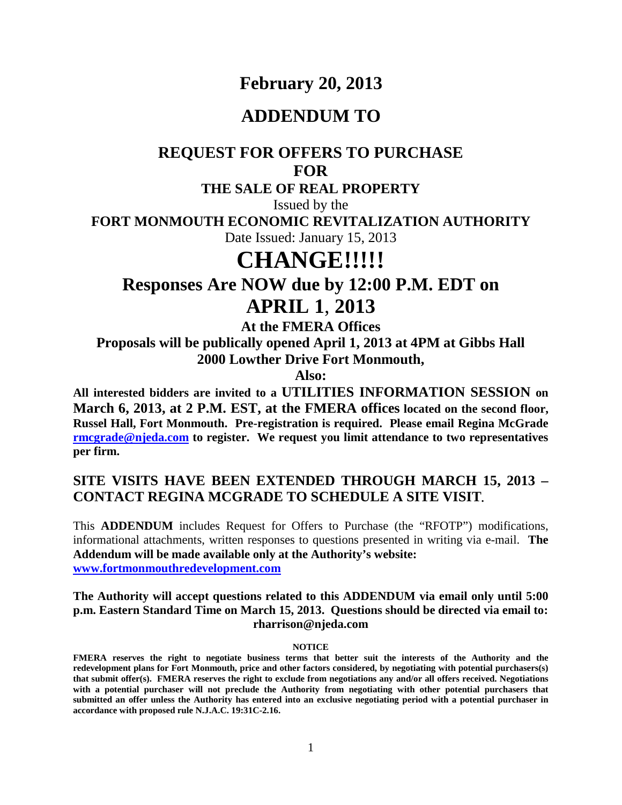# **February 20, 2013**

## **ADDENDUM TO**

## **REQUEST FOR OFFERS TO PURCHASE FOR**

### **THE SALE OF REAL PROPERTY**

Issued by the

**FORT MONMOUTH ECONOMIC REVITALIZATION AUTHORITY**

Date Issued: January 15, 2013

# **CHANGE!!!!!**

# **Responses Are NOW due by 12:00 P.M. EDT on APRIL 1**, **2013**

**At the FMERA Offices**

**Proposals will be publically opened April 1, 2013 at 4PM at Gibbs Hall 2000 Lowther Drive Fort Monmouth,** 

**Also:**

**All interested bidders are invited to a UTILITIES INFORMATION SESSION on March 6, 2013, at 2 P.M. EST, at the FMERA offices located on the second floor, Russel Hall, Fort Monmouth. Pre-registration is required. Please email Regina McGrade [rmcgrade@njeda.com](mailto:rmcgrade@njeda.com) to register. We request you limit attendance to two representatives per firm.**

### **SITE VISITS HAVE BEEN EXTENDED THROUGH MARCH 15, 2013 – CONTACT REGINA MCGRADE TO SCHEDULE A SITE VISIT.**

This **ADDENDUM** includes Request for Offers to Purchase (the "RFOTP") modifications, informational attachments, written responses to questions presented in writing via e-mail. **The Addendum will be made available only at the Authority's website: [www.fortmonmouthredevelopment.com](http://www.fortmonmouthredevelopment.com/)**

#### **The Authority will accept questions related to this ADDENDUM via email only until 5:00 p.m. Eastern Standard Time on March 15, 2013. Questions should be directed via email to: rharrison@njeda.com**

#### **NOTICE**

**FMERA reserves the right to negotiate business terms that better suit the interests of the Authority and the redevelopment plans for Fort Monmouth, price and other factors considered, by negotiating with potential purchasers(s) that submit offer(s). FMERA reserves the right to exclude from negotiations any and/or all offers received. Negotiations with a potential purchaser will not preclude the Authority from negotiating with other potential purchasers that submitted an offer unless the Authority has entered into an exclusive negotiating period with a potential purchaser in accordance with proposed rule N.J.A.C. 19:31C-2.16.**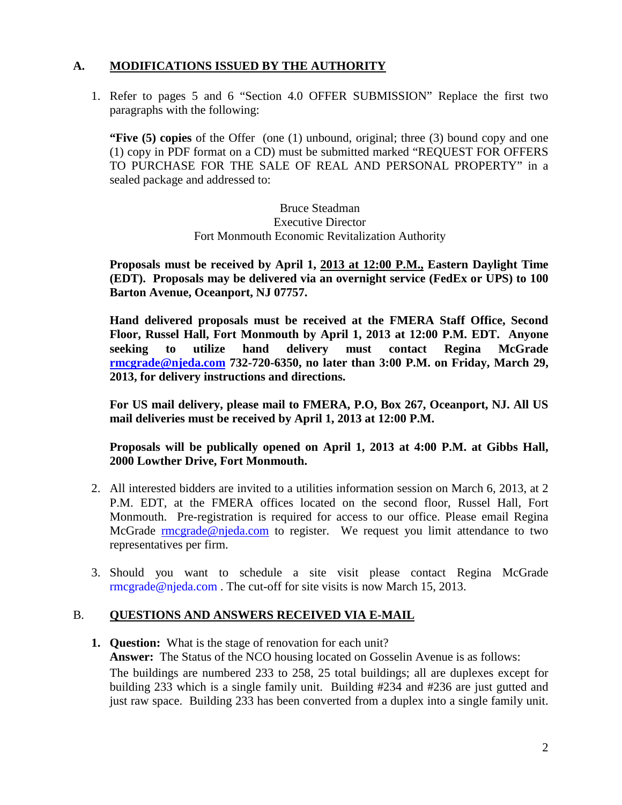### **A. MODIFICATIONS ISSUED BY THE AUTHORITY**

1. Refer to pages 5 and 6 "Section 4.0 OFFER SUBMISSION" Replace the first two paragraphs with the following:

**"Five (5) copies** of the Offer (one (1) unbound, original; three (3) bound copy and one (1) copy in PDF format on a CD) must be submitted marked "REQUEST FOR OFFERS TO PURCHASE FOR THE SALE OF REAL AND PERSONAL PROPERTY" in a sealed package and addressed to:

> Bruce Steadman Executive Director Fort Monmouth Economic Revitalization Authority

**Proposals must be received by April 1, 2013 at 12:00 P.M., Eastern Daylight Time (EDT). Proposals may be delivered via an overnight service (FedEx or UPS) to 100 Barton Avenue, Oceanport, NJ 07757.**

**Hand delivered proposals must be received at the FMERA Staff Office, Second Floor, Russel Hall, Fort Monmouth by April 1, 2013 at 12:00 P.M. EDT. Anyone seeking to utilize hand delivery must contact Regina McGrade [rmcgrade@njeda.com](mailto:rmcgrade@njeda.com) 732-720-6350, no later than 3:00 P.M. on Friday, March 29, 2013, for delivery instructions and directions.**

**For US mail delivery, please mail to FMERA, P.O, Box 267, Oceanport, NJ. All US mail deliveries must be received by April 1, 2013 at 12:00 P.M.** 

**Proposals will be publically opened on April 1, 2013 at 4:00 P.M. at Gibbs Hall, 2000 Lowther Drive, Fort Monmouth.**

- 2. All interested bidders are invited to a utilities information session on March 6, 2013, at 2 P.M. EDT, at the FMERA offices located on the second floor, Russel Hall, Fort Monmouth. Pre-registration is required for access to our office. Please email Regina McGrade [rmcgrade@njeda.com](mailto:rmcgrade@njeda.com) to register. We request you limit attendance to two representatives per firm.
- 3. Should you want to schedule a site visit please contact Regina McGrade [rmcgrade@njeda.com](mailto:rmcgrade@njeda.com) . The cut-off for site visits is now March 15, 2013.

### B. **QUESTIONS AND ANSWERS RECEIVED VIA E-MAIL**

**1. Question:** What is the stage of renovation for each unit? **Answer:** The Status of the NCO housing located on Gosselin Avenue is as follows: The buildings are numbered 233 to 258, 25 total buildings; all are duplexes except for building 233 which is a single family unit. Building #234 and #236 are just gutted and just raw space. Building 233 has been converted from a duplex into a single family unit.